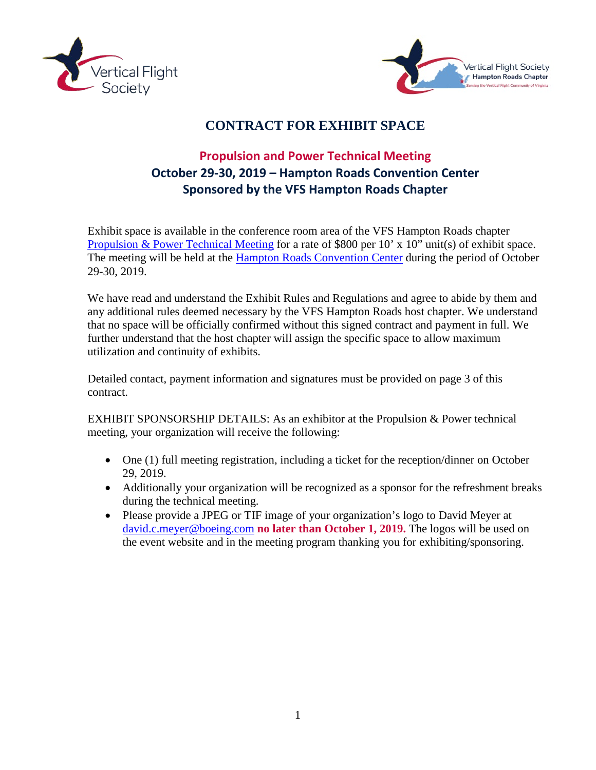



# **CONTRACT FOR EXHIBIT SPACE**

# **Propulsion and Power Technical Meeting October 29-30, 2019 – Hampton Roads Convention Center Sponsored by the VFS Hampton Roads Chapter**

Exhibit space is available in the conference room area of the VFS Hampton Roads chapter [Propulsion & Power Technical Meeting](https://vtol.org/events/2019-propulsion-technical-meeting) for a rate of \$800 per 10' x 10" unit(s) of exhibit space. The meeting will be held at the [Hampton Roads Convention Center](https://thehrcc.com/) during the period of October 29-30, 2019.

We have read and understand the Exhibit Rules and Regulations and agree to abide by them and any additional rules deemed necessary by the VFS Hampton Roads host chapter. We understand that no space will be officially confirmed without this signed contract and payment in full. We further understand that the host chapter will assign the specific space to allow maximum utilization and continuity of exhibits.

Detailed contact, payment information and signatures must be provided on page 3 of this contract.

EXHIBIT SPONSORSHIP DETAILS: As an exhibitor at the Propulsion & Power technical meeting, your organization will receive the following:

- One (1) full meeting registration, including a ticket for the reception/dinner on October 29, 2019.
- Additionally your organization will be recognized as a sponsor for the refreshment breaks during the technical meeting.
- Please provide a JPEG or TIF image of your organization's logo to David Meyer at [david.c.meyer@boeing.com](mailto:david.c.meyer@boeing.com) **no later than October 1, 2019.** The logos will be used on the event website and in the meeting program thanking you for exhibiting/sponsoring.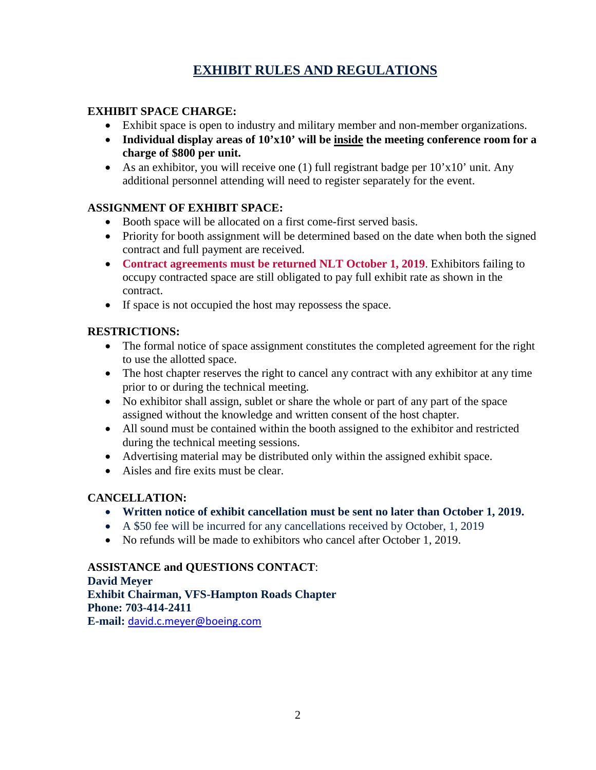# **EXHIBIT RULES AND REGULATIONS**

#### **EXHIBIT SPACE CHARGE:**

- Exhibit space is open to industry and military member and non-member organizations.
- **Individual display areas of 10'x10' will be inside the meeting conference room for a charge of \$800 per unit.**
- As an exhibitor, you will receive one (1) full registrant badge per  $10'x10'$  unit. Any additional personnel attending will need to register separately for the event.

#### **ASSIGNMENT OF EXHIBIT SPACE:**

- Booth space will be allocated on a first come-first served basis.
- Priority for booth assignment will be determined based on the date when both the signed contract and full payment are received.
- **Contract agreements must be returned NLT October 1, 2019**. Exhibitors failing to occupy contracted space are still obligated to pay full exhibit rate as shown in the contract.
- If space is not occupied the host may repossess the space.

#### **RESTRICTIONS:**

- The formal notice of space assignment constitutes the completed agreement for the right to use the allotted space.
- The host chapter reserves the right to cancel any contract with any exhibitor at any time prior to or during the technical meeting.
- No exhibitor shall assign, sublet or share the whole or part of any part of the space assigned without the knowledge and written consent of the host chapter.
- All sound must be contained within the booth assigned to the exhibitor and restricted during the technical meeting sessions.
- Advertising material may be distributed only within the assigned exhibit space.
- Aisles and fire exits must be clear.

#### **CANCELLATION:**

- **Written notice of exhibit cancellation must be sent no later than October 1, 2019.**
- A \$50 fee will be incurred for any cancellations received by October, 1, 2019
- No refunds will be made to exhibitors who cancel after October 1, 2019.

#### **ASSISTANCE and QUESTIONS CONTACT**: **David Meyer Exhibit Chairman, VFS-Hampton Roads Chapter Phone: 703-414-2411 E-mail:** [david.c.meyer@boeing.com](mailto:david.c.meyer@boeing.com)